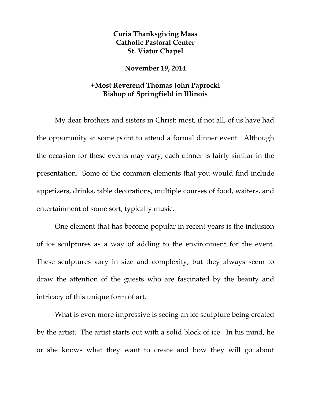## **Curia Thanksgiving Mass Catholic Pastoral Center St. Viator Chapel**

## **November 19, 2014**

## **+Most Reverend Thomas John Paprocki Bishop of Springfield in Illinois**

My dear brothers and sisters in Christ: most, if not all, of us have had the opportunity at some point to attend a formal dinner event. Although the occasion for these events may vary, each dinner is fairly similar in the presentation. Some of the common elements that you would find include appetizers, drinks, table decorations, multiple courses of food, waiters, and entertainment of some sort, typically music.

One element that has become popular in recent years is the inclusion of ice sculptures as a way of adding to the environment for the event. These sculptures vary in size and complexity, but they always seem to draw the attention of the guests who are fascinated by the beauty and intricacy of this unique form of art.

What is even more impressive is seeing an ice sculpture being created by the artist. The artist starts out with a solid block of ice. In his mind, he or she knows what they want to create and how they will go about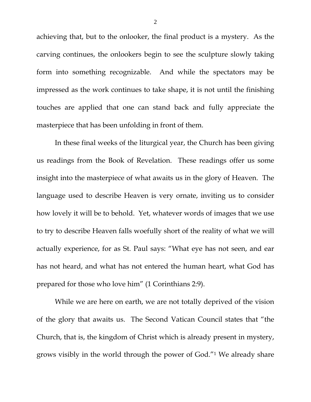achieving that, but to the onlooker, the final product is a mystery. As the carving continues, the onlookers begin to see the sculpture slowly taking form into something recognizable. And while the spectators may be impressed as the work continues to take shape, it is not until the finishing touches are applied that one can stand back and fully appreciate the masterpiece that has been unfolding in front of them.

In these final weeks of the liturgical year, the Church has been giving us readings from the Book of Revelation. These readings offer us some insight into the masterpiece of what awaits us in the glory of Heaven. The language used to describe Heaven is very ornate, inviting us to consider how lovely it will be to behold. Yet, whatever words of images that we use to try to describe Heaven falls woefully short of the reality of what we will actually experience, for as St. Paul says: "What eye has not seen, and ear has not heard, and what has not entered the human heart, what God has prepared for those who love him" (1 Corinthians 2:9).

While we are here on earth, we are not totally deprived of the vision of the glory that awaits us. The Second Vatican Council states that "the Church, that is, the kingdom of Christ which is already present in mystery, grows visibly in the world through the power of God."1 We already share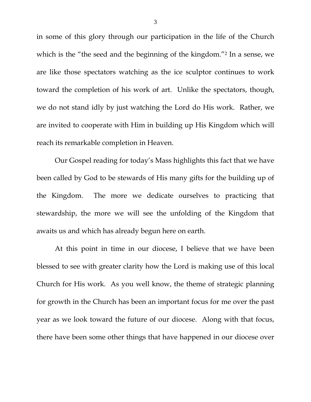in some of this glory through our participation in the life of the Church which is the "the seed and the beginning of the kingdom."<sup>2</sup> In a sense, we are like those spectators watching as the ice sculptor continues to work toward the completion of his work of art. Unlike the spectators, though, we do not stand idly by just watching the Lord do His work. Rather, we are invited to cooperate with Him in building up His Kingdom which will reach its remarkable completion in Heaven.

Our Gospel reading for today's Mass highlights this fact that we have been called by God to be stewards of His many gifts for the building up of the Kingdom. The more we dedicate ourselves to practicing that stewardship, the more we will see the unfolding of the Kingdom that awaits us and which has already begun here on earth.

At this point in time in our diocese, I believe that we have been blessed to see with greater clarity how the Lord is making use of this local Church for His work. As you well know, the theme of strategic planning for growth in the Church has been an important focus for me over the past year as we look toward the future of our diocese. Along with that focus, there have been some other things that have happened in our diocese over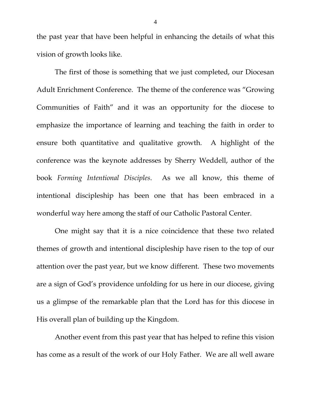the past year that have been helpful in enhancing the details of what this vision of growth looks like.

The first of those is something that we just completed, our Diocesan Adult Enrichment Conference. The theme of the conference was "Growing Communities of Faith" and it was an opportunity for the diocese to emphasize the importance of learning and teaching the faith in order to ensure both quantitative and qualitative growth. A highlight of the conference was the keynote addresses by Sherry Weddell, author of the book *Forming Intentional Disciples*. As we all know, this theme of intentional discipleship has been one that has been embraced in a wonderful way here among the staff of our Catholic Pastoral Center.

One might say that it is a nice coincidence that these two related themes of growth and intentional discipleship have risen to the top of our attention over the past year, but we know different. These two movements are a sign of God's providence unfolding for us here in our diocese, giving us a glimpse of the remarkable plan that the Lord has for this diocese in His overall plan of building up the Kingdom.

Another event from this past year that has helped to refine this vision has come as a result of the work of our Holy Father. We are all well aware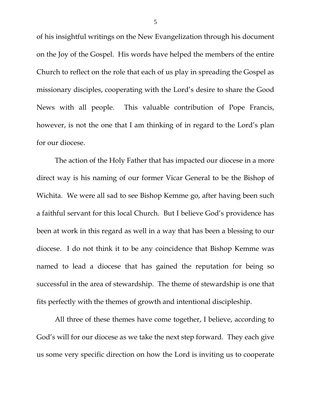of his insightful writings on the New Evangelization through his document on the Joy of the Gospel. His words have helped the members of the entire Church to reflect on the role that each of us play in spreading the Gospel as missionary disciples, cooperating with the Lord's desire to share the Good News with all people. This valuable contribution of Pope Francis, however, is not the one that I am thinking of in regard to the Lord's plan for our diocese.

The action of the Holy Father that has impacted our diocese in a more direct way is his naming of our former Vicar General to be the Bishop of Wichita. We were all sad to see Bishop Kemme go, after having been such a faithful servant for this local Church. But I believe God's providence has been at work in this regard as well in a way that has been a blessing to our diocese. I do not think it to be any coincidence that Bishop Kemme was named to lead a diocese that has gained the reputation for being so successful in the area of stewardship. The theme of stewardship is one that fits perfectly with the themes of growth and intentional discipleship.

All three of these themes have come together, I believe, according to God's will for our diocese as we take the next step forward. They each give us some very specific direction on how the Lord is inviting us to cooperate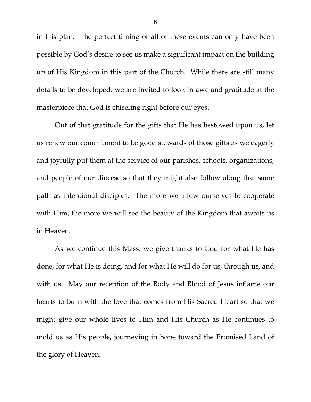in His plan. The perfect timing of all of these events can only have been possible by God's desire to see us make a significant impact on the building up of His Kingdom in this part of the Church. While there are still many details to be developed, we are invited to look in awe and gratitude at the masterpiece that God is chiseling right before our eyes.

Out of that gratitude for the gifts that He has bestowed upon us, let us renew our commitment to be good stewards of those gifts as we eagerly and joyfully put them at the service of our parishes, schools, organizations, and people of our diocese so that they might also follow along that same path as intentional disciples. The more we allow ourselves to cooperate with Him, the more we will see the beauty of the Kingdom that awaits us in Heaven.

As we continue this Mass, we give thanks to God for what He has done, for what He is doing, and for what He will do for us, through us, and with us. May our reception of the Body and Blood of Jesus inflame our hearts to burn with the love that comes from His Sacred Heart so that we might give our whole lives to Him and His Church as He continues to mold us as His people, journeying in hope toward the Promised Land of the glory of Heaven.